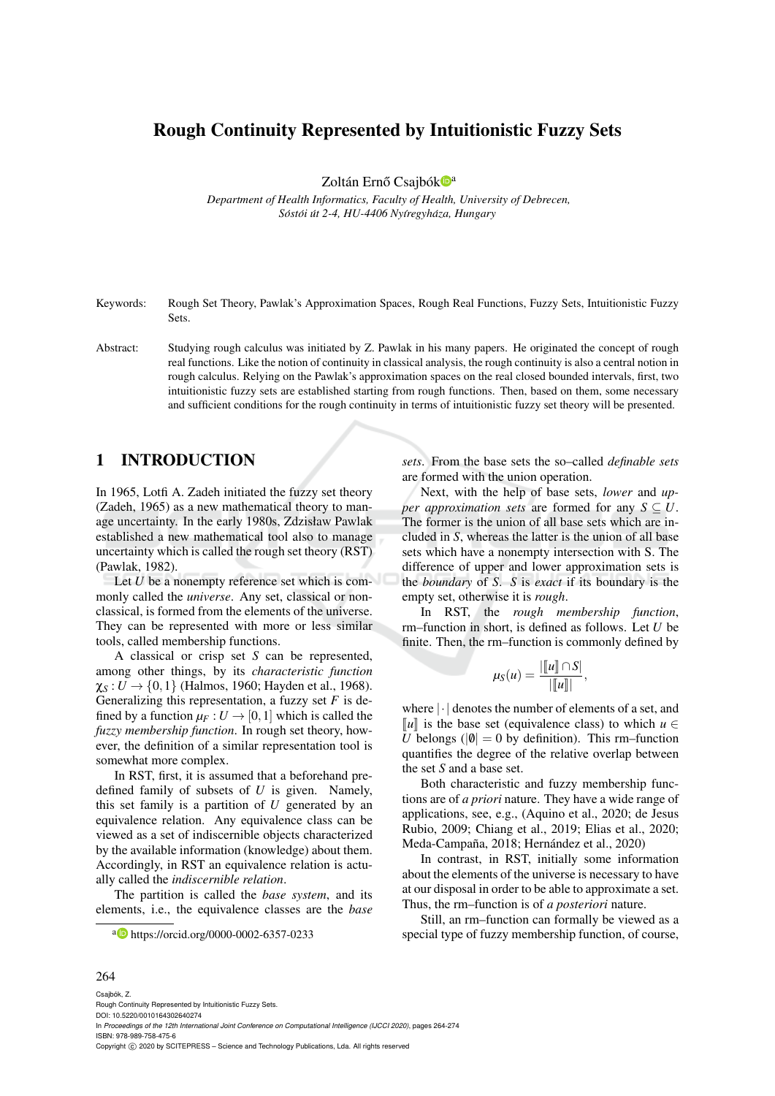## Rough Continuity Represented by Intuitionistic Fuzzy Sets

Zoltán Ernő Csajbók<sup>oa</sup>

*Department of Health Informatics, Faculty of Health, University of Debrecen, Sost ´ oi´ ut 2-4, HU-4406 Ny ´ ´ıregyhaza, Hungary ´*

Keywords: Rough Set Theory, Pawlak's Approximation Spaces, Rough Real Functions, Fuzzy Sets, Intuitionistic Fuzzy Sets.

Abstract: Studying rough calculus was initiated by Z. Pawlak in his many papers. He originated the concept of rough real functions. Like the notion of continuity in classical analysis, the rough continuity is also a central notion in rough calculus. Relying on the Pawlak's approximation spaces on the real closed bounded intervals, first, two intuitionistic fuzzy sets are established starting from rough functions. Then, based on them, some necessary and sufficient conditions for the rough continuity in terms of intuitionistic fuzzy set theory will be presented.

### 1 INTRODUCTION

In 1965, Lotfi A. Zadeh initiated the fuzzy set theory (Zadeh, 1965) as a new mathematical theory to manage uncertainty. In the early 1980s, Zdzisław Pawlak established a new mathematical tool also to manage uncertainty which is called the rough set theory (RST) (Pawlak, 1982).

Let *U* be a nonempty reference set which is commonly called the *universe*. Any set, classical or nonclassical, is formed from the elements of the universe. They can be represented with more or less similar tools, called membership functions.

A classical or crisp set *S* can be represented, among other things, by its *characteristic function*  $\chi_S : U \to \{0, 1\}$  (Halmos, 1960; Hayden et al., 1968). Generalizing this representation, a fuzzy set *F* is defined by a function  $\mu_F: U \to [0,1]$  which is called the *fuzzy membership function*. In rough set theory, however, the definition of a similar representation tool is somewhat more complex.

In RST, first, it is assumed that a beforehand predefined family of subsets of *U* is given. Namely, this set family is a partition of *U* generated by an equivalence relation. Any equivalence class can be viewed as a set of indiscernible objects characterized by the available information (knowledge) about them. Accordingly, in RST an equivalence relation is actually called the *indiscernible relation*.

The partition is called the *base system*, and its elements, i.e., the equivalence classes are the *base* *sets*. From the base sets the so–called *definable sets* are formed with the union operation.

Next, with the help of base sets, *lower* and *upper approximation sets* are formed for any  $S \subseteq U$ . The former is the union of all base sets which are included in *S*, whereas the latter is the union of all base sets which have a nonempty intersection with S. The difference of upper and lower approximation sets is the *boundary* of *S*. *S* is *exact* if its boundary is the empty set, otherwise it is *rough*.

In RST, the *rough membership function*, rm–function in short, is defined as follows. Let *U* be finite. Then, the rm–function is commonly defined by

$$
\mu_S(u) = \frac{|\llbracket u \rrbracket \cap S|}{|\llbracket u \rrbracket|},
$$

where |·| denotes the number of elements of a set, and  $\llbracket u \rrbracket$  is the base set (equivalence class) to which *u* ∈ *U* belongs ( $|0| = 0$  by definition). This rm–function quantifies the degree of the relative overlap between the set *S* and a base set.

Both characteristic and fuzzy membership functions are of *a priori* nature. They have a wide range of applications, see, e.g., (Aquino et al., 2020; de Jesus Rubio, 2009; Chiang et al., 2019; Elias et al., 2020; Meda-Campaña, 2018; Hernández et al., 2020)

In contrast, in RST, initially some information about the elements of the universe is necessary to have at our disposal in order to be able to approximate a set. Thus, the rm–function is of *a posteriori* nature.

Still, an rm–function can formally be viewed as a special type of fuzzy membership function, of course,

#### 264

<sup>a</sup> https://orcid.org/0000-0002-6357-0233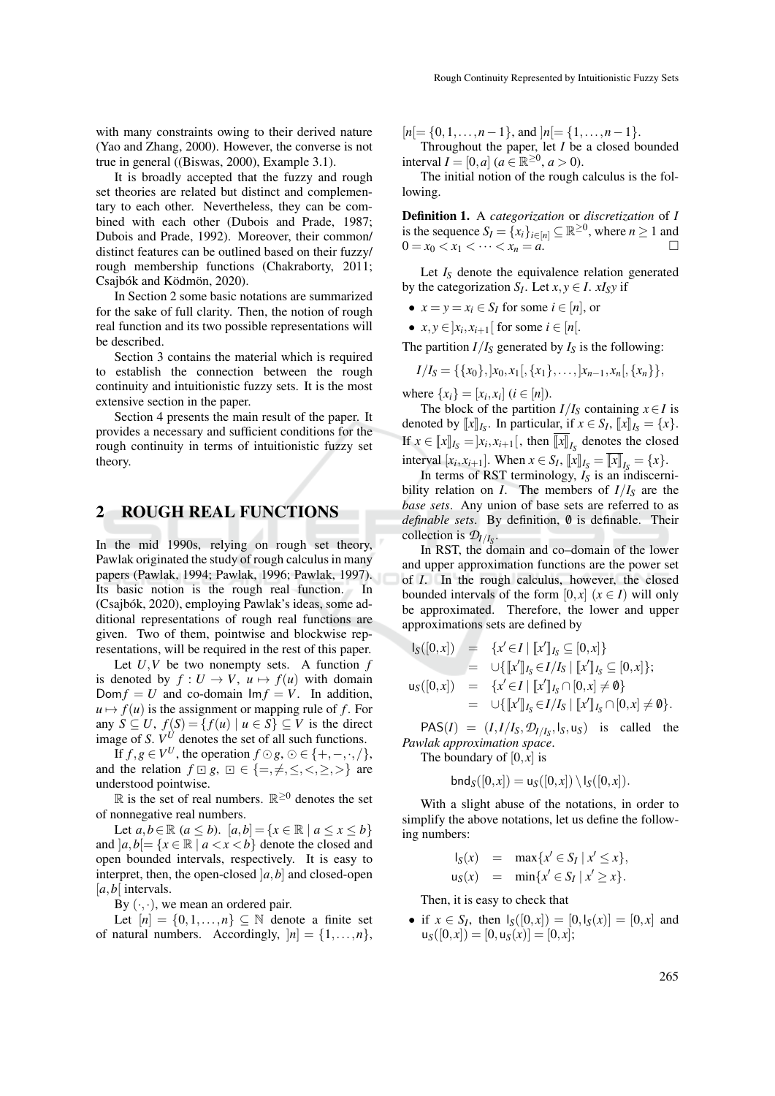with many constraints owing to their derived nature (Yao and Zhang, 2000). However, the converse is not true in general ((Biswas, 2000), Example 3.1).

It is broadly accepted that the fuzzy and rough set theories are related but distinct and complementary to each other. Nevertheless, they can be combined with each other (Dubois and Prade, 1987; Dubois and Prade, 1992). Moreover, their common/ distinct features can be outlined based on their fuzzy/ rough membership functions (Chakraborty, 2011; Csaibók and Ködmön, 2020).

In Section 2 some basic notations are summarized for the sake of full clarity. Then, the notion of rough real function and its two possible representations will be described.

Section 3 contains the material which is required to establish the connection between the rough continuity and intuitionistic fuzzy sets. It is the most extensive section in the paper.

Section 4 presents the main result of the paper. It provides a necessary and sufficient conditions for the rough continuity in terms of intuitionistic fuzzy set theory.

#### 2 ROUGH REAL FUNCTIONS

In the mid 1990s, relying on rough set theory, Pawlak originated the study of rough calculus in many papers (Pawlak, 1994; Pawlak, 1996; Pawlak, 1997). Its basic notion is the rough real function. In (Csajbók, 2020), employing Pawlak's ideas, some additional representations of rough real functions are given. Two of them, pointwise and blockwise representations, will be required in the rest of this paper.

Let *U*,*V* be two nonempty sets. A function *f* is denoted by  $f: U \to V$ ,  $u \mapsto f(u)$  with domain Dom  $f = U$  and co-domain  $Im f = V$ . In addition,  $u \mapsto f(u)$  is the assignment or mapping rule of *f*. For any  $S \subseteq U$ ,  $f(S) = \{f(u) \mid u \in S\} \subseteq V$  is the direct image of *S*.  $V^U$  denotes the set of all such functions.

If  $f, g \in V^U$ , the operation  $f \odot g$ ,  $\odot \in \{+, -, \cdot, / \}$ , and the relation  $f \square g$ ,  $\square \in \{ =, \neq, \leq, \leq, \geq, \geq \}$  are understood pointwise.

 $\mathbb R$  is the set of real numbers.  $\mathbb R^{\geq 0}$  denotes the set of nonnegative real numbers.

Let *a*,*b*∈ℝ (*a* ≤ *b*). [*a*,*b*] = {*x* ∈ ℝ | *a* ≤ *x* ≤ *b*} and  $|a,b| = \{x \in \mathbb{R} \mid a < x < b\}$  denote the closed and open bounded intervals, respectively. It is easy to interpret, then, the open-closed  $|a,b|$  and closed-open [*a*,*b*[ intervals.

By  $(\cdot, \cdot)$ , we mean an ordered pair.

Let  $[n] = \{0, 1, \ldots, n\} \subset \mathbb{N}$  denote a finite set of natural numbers. Accordingly,  $|n| = \{1, \ldots, n\}$ ,  $[n] = \{0, 1, \ldots, n-1\}$ , and  $[n] = \{1, \ldots, n-1\}$ . Throughout the paper, let *I* be a closed bounded

interval  $I = [0, a]$  ( $a \in \mathbb{R}^{\geq 0}, a > 0$ ). The initial notion of the rough calculus is the following.

Definition 1. A *categorization* or *discretization* of *I* is the sequence  $S_I = \{x_i\}_{i \in [n]} \subseteq \mathbb{R}^{\geq 0}$ , where  $n \geq 1$  and 0 =  $x_0 < x_1 < \cdots < x_n = a$ .

Let  $I_S$  denote the equivalence relation generated by the categorization  $S_I$ . Let  $x, y \in I$ .  $xI_Sy$  if

- $x = y = x_i \in S_I$  for some  $i \in [n]$ , or
- $x, y \in ]x_i, x_{i+1}[$  for some  $i \in [n].$

The partition  $I/I_S$  generated by  $I_S$  is the following:

$$
I/I_S = \{\{x_0\}, [x_0, x_1[, \{x_1\}, \ldots, ]x_{n-1}, x_n[, \{x_n\}\},\
$$

where  $\{x_i\} = [x_i, x_i]$  ( $i \in [n]$ ).

The block of the partition  $I/I_S$  containing  $x \in I$  is denoted by  $\llbracket x \rrbracket_{I_S}$ . In particular, if  $x \in S_I$ ,  $\llbracket x \rrbracket_{I_S} = \{x\}.$ If  $x \in [x]_s = ]x_i, x_{i+1}[$ , then  $[[x]]_s$  denotes the closed interval  $[x_i, x_{i+1}]$ . When  $x \in S_I$ ,  $[[x]]_{I_S} = [[x]]_{I_S} = \{x\}$ .<br>In terms of **PST** terminology,  $I_S$  is an indiscer-

In terms of RST terminology,  $I<sub>S</sub>$  is an indiscernibility relation on *I*. The members of  $I/I_S$  are the *base sets*. Any union of base sets are referred to as *definable sets.* By definition,  $\theta$  is definable. Their collection is  $\mathcal{D}_{I/I_S}$ .

In RST, the domain and co–domain of the lower and upper approximation functions are the power set of *I*. In the rough calculus, however, the closed bounded intervals of the form  $[0, x]$  ( $x \in I$ ) will only be approximated. Therefore, the lower and upper approximations sets are defined by

$$
I_S([0, x]) = \{x' \in I \mid [[x']]_{I_S} \subseteq [0, x]\} = \cup\{[[x']]_{I_S} \in I/I_S \mid [[x']]_{I_S} \subseteq [0, x]\}; u_S([0, x]) = \{x' \in I \mid [[x']]_{I_S} \cap [0, x] \neq \emptyset\} \cup\{[[x']]_{I_S} \cap [0, x] \neq \emptyset\} \cup\{0\}
$$

$$
= \cup \{ [\![x']\!]_{I_S} \in I/I_S \mid [\![x']\!]_{I_S} \cap [0,x] \neq \emptyset \}.
$$

 $PAS(I) = (I, I/I<sub>S</sub>, \mathcal{D}_{I/I<sub>S</sub>}, I<sub>S</sub>, u<sub>S</sub>)$  is called the *Pawlak approximation space*.

The boundary of  $[0, x]$  is

 $bnd_S([0, x]) = u_S([0, x]) \setminus I_S([0, x]).$ 

With a slight abuse of the notations, in order to simplify the above notations, let us define the following numbers:

$$
I_S(x) = \max\{x' \in S_I \mid x' \le x\},
$$
  

$$
u_S(x) = \min\{x' \in S_I \mid x' \ge x\}.
$$

Then, it is easy to check that

• if  $x \in S_I$ , then  $I_S([0,x]) = [0, I_S(x)] = [0,x]$  and  $u_S([0, x]) = [0, u_S(x)] = [0, x];$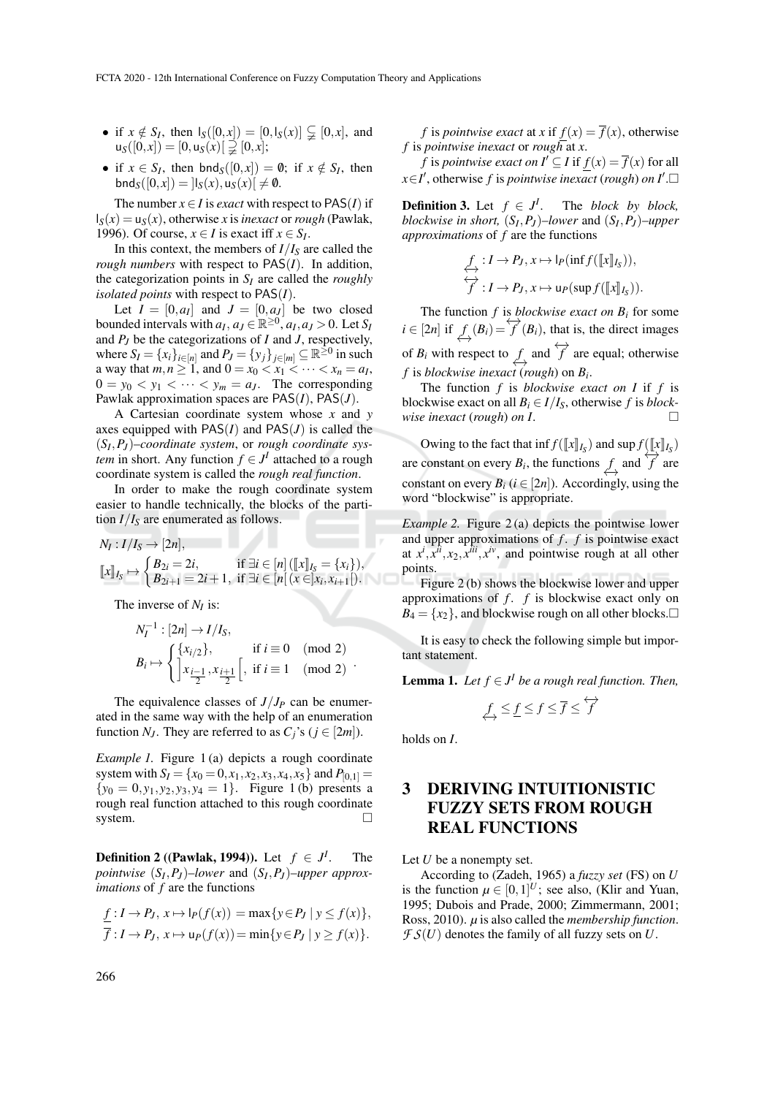- if  $x \notin S_I$ , then  $I_S([0, x]) = [0, I_S(x)] \subsetneq [0, x]$ , and  $u_S([0, x]) = [0, u_S(x)] \supseteqeq [0, x];$
- if  $x \in S_I$ , then  $bnd_S([0, x]) = \emptyset$ ; if  $x \notin S_I$ , then  $bnd_S([0, x]) = |I_S(x), u_S(x)| \neq \emptyset.$

The number  $x \in I$  is *exact* with respect to PAS(*I*) if  $I_S(x) = u_S(x)$ , otherwise *x* is *inexact* or *rough* (Pawlak, 1996). Of course,  $x \in I$  is exact iff  $x \in S_I$ .

In this context, the members of  $I/I_S$  are called the *rough numbers* with respect to PAS(*I*). In addition, the categorization points in *S<sup>I</sup>* are called the *roughly isolated points* with respect to PAS(*I*).

Let  $I = [0, a_I]$  and  $J = [0, a_J]$  be two closed bounded intervals with  $a_I, a_J \in \mathbb{R}^{\geq 0}, a_I, a_J > 0$ . Let  $S_I$ and *P<sup>J</sup>* be the categorizations of *I* and *J*, respectively, where  $S_I = \{x_i\}_{i \in [n]}$  and  $P_J = \{y_j\}_{j \in [m]} \subseteq \mathbb{R}^{\geq 0}$  in such a way that  $m, n \ge 1$ , and  $0 = x_0 < x_1 < \cdots < x_n = a_I$ ,  $0 = y_0 < y_1 < \cdots < y_m = a_J$ . The corresponding Pawlak approximation spaces are PAS(*I*), PAS(*J*).

A Cartesian coordinate system whose *x* and *y* axes equipped with  $PAS(I)$  and  $PAS(J)$  is called the (*S<sup>I</sup>* ,*P<sup>J</sup>* )–*coordinate system*, or *rough coordinate system* in short. Any function  $f \in J^I$  attached to a rough coordinate system is called the *rough real function*.

In order to make the rough coordinate system easier to handle technically, the blocks of the partition  $I/I<sub>S</sub>$  are enumerated as follows.

$$
N_I: I/I_S \to [2n],
$$
  
\n
$$
[[x]]_{I_S} \to \begin{cases} B_{2i} = 2i, & \text{if } \exists i \in [n] \left( [[x]]_{I_S} = \{x_i\} \right), \\ B_{2i+1} = 2i+1, & \text{if } \exists i \in [n] \left( x \in ]x_i, x_{i+1}[ \right). \end{cases}
$$

The inverse of *N<sup>I</sup>* is:

$$
N_I^{-1}: [2n] \to I/I_S,
$$
  
\n
$$
B_i \mapsto \begin{cases} \{x_{i/2}\}, & \text{if } i \equiv 0 \pmod{2} \\ x_{\frac{i-1}{2}}, x_{\frac{i+1}{2}} \end{cases}
$$
, if  $i \equiv 1 \pmod{2}$ .

The equivalence classes of  $J/J_P$  can be enumerated in the same way with the help of an enumeration function *N<sub>J</sub>*. They are referred to as  $C_j$ 's ( $j \in [2m]$ ).

*Example 1*. Figure 1(a) depicts a rough coordinate system with  $S_I = \{x_0 = 0, x_1, x_2, x_3, x_4, x_5\}$  and  $P_{[0,1]} =$  ${y_0 = 0, y_1, y_2, y_3, y_4 = 1}.$  Figure 1 (b) presents a rough real function attached to this rough coordinate system.

**Definition 2** ((Pawlak, 1994)). Let  $f \in J^l$ . The *pointwise* (*S<sup>I</sup>* ,*P<sup>J</sup>* )–*lower* and (*S<sup>I</sup>* ,*P<sup>J</sup>* )–*upper approximations* of *f* are the functions

$$
\frac{f: I \to P_J, x \mapsto \mathsf{I}_P(f(x)) = \max\{y \in P_J \mid y \le f(x)\},}{f: I \to P_J, x \mapsto \mathsf{u}_P(f(x)) = \min\{y \in P_J \mid y \ge f(x)\}.
$$

*f* is *pointwise exact* at *x* if  $f(x) = \overline{f}(x)$ , otherwise *f* is *pointwise inexact* or *rough* at *x*.

*f* is *pointwise exact on*  $I' \subseteq I$  if  $f(x) = \overline{f}(x)$  for all *x*∈*I*<sup> $'$ </sup>, otherwise *f* is *pointwise inexact* (*rough*) *on I*<sup> $'$ </sup>.□

**Definition 3.** Let  $f \in J^I$ . The *block by block*, *blockwise in short,* (*S<sup>I</sup>* ,*P<sup>J</sup>* )–*lower* and (*S<sup>I</sup>* ,*P<sup>J</sup>* )–*upper approximations* of *f* are the functions

$$
\begin{aligned}\n\underset{\overrightarrow{f}}{\underset{\overrightarrow{f}}{\longleftrightarrow}}: I \to P_J, x \mapsto \mathsf{I}_P(\inf f([\![x]\!]_{I_S})), \\
\overleftrightarrow{f}: I \to P_J, x \mapsto \mathsf{u}_P(\sup f([\![x]\!]_{I_S})).\n\end{aligned}
$$

The function  $f$  is *blockwise exact on*  $B_i$  for some *i* ∈ [2*n*] if  $f(x) = f'(B_i)$ , that is, the direct images of  $B_i$  with respect to  $f$  and  $\overleftrightarrow{f}$  are equal; otherwise *f* is *blockwise inexact* (*rough*) on *B<sup>i</sup>* .

The function *f* is *blockwise exact on I* if *f* is blockwise exact on all  $B_i \in I/I_S$ , otherwise *f* is *blockwise inexact* (*rough*) *on I*.

Owing to the fact that inf  $f([\![x]\!]_{I_S})$  and  $\sup f([\![x]\!]_{I_S})$ are constant on every  $B_i$ , the functions  $f$  and  $\overrightarrow{f}$  are constant on every  $B_i$  ( $i \in [2n]$ ). Accordingly, using the word "blockwise" is appropriate.

*Example 2.* Figure 2(a) depicts the pointwise lower and upper approximations of *f* . *f* is pointwise exact at  $x^i$ ,  $x^{\bar{i}i}$ ,  $x_2$ ,  $x^{\bar{i}i}$ ,  $x^{\bar{i}v}$ , and pointwise rough at all other points.

Figure 2 (b) shows the blockwise lower and upper approximations of *f* . *f* is blockwise exact only on  $B_4 = \{x_2\}$ , and blockwise rough on all other blocks.

It is easy to check the following simple but important statement.

**Lemma 1.** *Let*  $f \in J^I$  *be a rough real function. Then,* 

$$
\mathop{\not\leq_{\hspace{-1pt} f}} \leq f \leq \mathop{\not\!\!\!\!\!f} \leq f \leq \mathop{\not\!\!\!\!f}^{\leftrightarrow}
$$

holds on *I*.

## 3 DERIVING INTUITIONISTIC FUZZY SETS FROM ROUGH REAL FUNCTIONS

Let *U* be a nonempty set.

According to (Zadeh, 1965) a *fuzzy set* (FS) on *U* is the function  $\mu \in [0,1]^U$ ; see also, (Klir and Yuan, 1995; Dubois and Prade, 2000; Zimmermann, 2001; Ross, 2010). *µ* is also called the *membership function*.  $\mathcal{F}S(U)$  denotes the family of all fuzzy sets on *U*.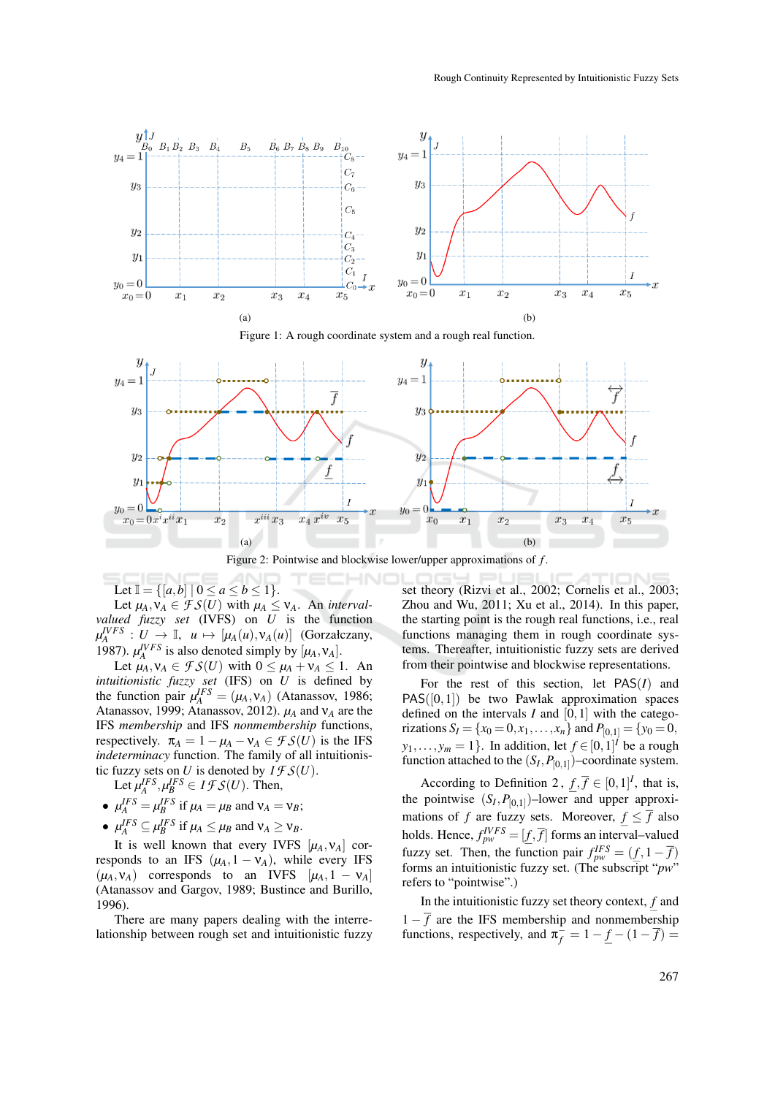



Figure 2: Pointwise and blockwise lower/upper approximations of *f* .

Let  $\mathbb{I} = \{ [a, b] \mid 0 \le a \le b \le 1 \}.$ 

Let  $\mu_A$ ,  $\nu_A \in \mathcal{FS}(U)$  with  $\mu_A \leq \nu_A$ . An *intervalvalued fuzzy set* (IVFS) on *U* is the function  $\mu_A^{IVFS}: U \to \mathbb{I}, \quad u \mapsto [\mu_A(u), v_A(u)]$  (Gorzałczany, 1987).  $\mu_A^{IVFS}$  is also denoted simply by  $[\mu_A, \nu_A]$ .

Let  $\mu_A, \nu_A \in \mathcal{FS}(U)$  with  $0 \leq \mu_A + \nu_A \leq 1$ . An *intuitionistic fuzzy set* (IFS) on *U* is defined by the function pair  $\mu_A^{IFS} = (\mu_A, \nu_A)$  (Atanassov, 1986; Atanassov, 1999; Atanassov, 2012). *µ<sup>A</sup>* and ν*<sup>A</sup>* are the IFS *membership* and IFS *nonmembership* functions, respectively.  $\pi_A = 1 - \mu_A - \nu_A \in \mathcal{FS}(U)$  is the IFS *indeterminacy* function. The family of all intuitionistic fuzzy sets on *U* is denoted by  $I \mathcal{FS}(U)$ .

Let  $\mu_A^{IFS}, \mu_B^{IFS} \in I \mathcal{FS}(U)$ . Then,

- $\mu_A^{IFS} = \mu_B^{IFS}$  if  $\mu_A = \mu_B$  and  $\nu_A = \nu_B$ ;
- $\mu_A^{IFS} \subseteq \mu_B^{IFS}$  if  $\mu_A \leq \mu_B$  and  $\nu_A \geq \nu_B$ .

It is well known that every IVFS  $[\mu_A, \nu_A]$  corresponds to an IFS  $(\mu_A, 1 - \nu_A)$ , while every IFS  $(\mu_A, \nu_A)$  corresponds to an IVFS  $[\mu_A, 1 - \nu_A]$ (Atanassov and Gargov, 1989; Bustince and Burillo, 1996).

There are many papers dealing with the interrelationship between rough set and intuitionistic fuzzy

set theory (Rizvi et al., 2002; Cornelis et al., 2003; Zhou and Wu, 2011; Xu et al., 2014). In this paper, the starting point is the rough real functions, i.e., real functions managing them in rough coordinate systems. Thereafter, intuitionistic fuzzy sets are derived from their pointwise and blockwise representations.

For the rest of this section, let PAS(*I*) and  $PAS([0,1])$  be two Pawlak approximation spaces defined on the intervals  $I$  and  $[0,1]$  with the categorizations  $S_I = \{x_0 = 0, x_1, \ldots, x_n\}$  and  $P_{[0,1]} = \{y_0 = 0,$  $y_1, \ldots, y_m = 1$ . In addition, let  $f \in [0, 1]^I$  be a rough function attached to the  $(S_I, P_{[0,1]})$ -coordinate system.

According to Definition 2,  $f, \overline{f} \in [0,1]^I$ , that is, the pointwise  $(S_I, P_{[0,1]})$ -lower and upper approximations of *f* are fuzzy sets. Moreover,  $f \leq \overline{f}$  also holds. Hence,  $f_{pw}^{IVFS} = [\underline{f}, \overline{f}]$  forms an interval–valued fuzzy set. Then, the function pair  $f_{pw}^{IFS} = (\underline{f}, 1 - \overline{f})$ forms an intuitionistic fuzzy set. (The subscript "*pw*" refers to "pointwise".)

In the intuitionistic fuzzy set theory context, *f* and  $1 - \overline{f}$  are the IFS membership and nonmembership functions, respectively, and  $\pi_f^{\div} = 1 - \underline{f} - (1 - \overline{f}) =$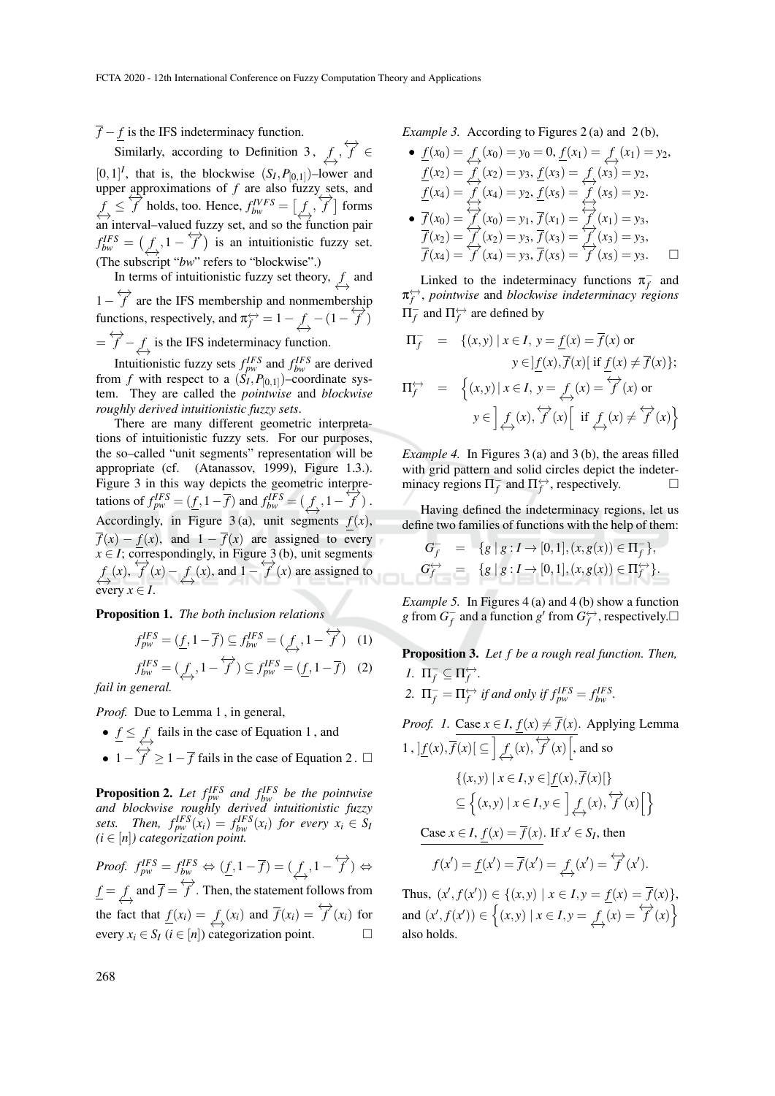*f* − *f* is the IFS indeterminacy function.

Similarly, according to Definition 3,  $f, f \nleftrightarrow f'$  $[0, 1]^I$ , that is, the blockwise  $(S_I, P_{[0,1]})$ -lower and upper approximations of *f* are also fuzzy sets, and  $f \leq \overrightarrow{f}$  holds, too. Hence,  $f_{bw}^{IVFS} = [f, \overrightarrow{f}]$  forms an interval–valued fuzzy set, and so the function pair  $f_{bw}^{IFS} = (f, 1 - f)$  is an intuitionistic fuzzy set. (The subscript "*bw*" refers to "blockwise".)

In terms of intuitionistic fuzzy set theory,  $\underset{\longleftrightarrow}{f}$  and  $1 - \overleftrightarrow{f}$  are the IFS membership and nonmembership functions, respectively, and  $\pi_f^{\leftrightarrow} = 1 - f - (1 - f^2)$  $=\overleftrightarrow{f} - f$  is the IFS indeterminacy function.

Intuitionistic fuzzy sets  $f_{pw}^{IFS}$  and  $f_{bw}^{IFS}$  are derived from *f* with respect to a  $(S_I, P_{[0,1]})$ -coordinate system. They are called the *pointwise* and *blockwise roughly derived intuitionistic fuzzy sets*.

There are many different geometric interpretations of intuitionistic fuzzy sets. For our purposes, the so–called "unit segments" representation will be appropriate (cf. (Atanassov, 1999), Figure 1.3.). Figure 3 in this way depicts the geometric interpretations of  $f_{pw}^{IFS} = (\underline{f}, 1 - \overline{f})$  and  $f_{bw}^{IFS} = (\overline{f}, 1 - \overline{f})$ . Accordingly, in Figure 3(a), unit segments  $f(x)$ ,  $\overline{f}(x) - f(x)$ , and  $1 - \overline{f}(x)$  are assigned to every  $x \in I$ ; correspondingly, in Figure 3 (b), unit segments  $f(x)$ ,  $f'(x) - f(x)$ , and  $1 - f'(x)$  are assigned to every  $x \in I$ .

Proposition 1. *The both inclusion relations*

$$
f_{pw}^{IFS} = (\underline{f}, 1 - \overline{f}) \subseteq f_{bw}^{IFS} = (\underbrace{f}{\leftrightarrow}, 1 - \overleftrightarrow{f}) \quad (1)
$$
  

$$
f_{bw}^{IFS} = (\underbrace{f}{\leftrightarrow}, 1 - \overleftrightarrow{f}) \subseteq f_{pw}^{IFS} = (\underline{f}, 1 - \overline{f}) \quad (2)
$$

*fail in general.*

*Proof.* Due to Lemma 1, in general,

- $f \leq f$  fails in the case of Equation 1, and
- $1-\overleftrightarrow{f} \geq 1-\overline{f}$  fails in the case of Equation 2.  $\Box$

**Proposition 2.** Let  $f_{pw}^{IFS}$  and  $f_{bw}^{IFS}$  be the pointwise *and blockwise roughly derived intuitionistic fuzzy sets. Then,*  $f_{pw}^{IFS}(x_i) = f_{bw}^{IFS}(x_i)$  *for every*  $x_i \in S_I$ *(i* ∈ [*n*]*) categorization point.*

*Proof.*  $f_{pw}^{IFS} = f_{bw}^{IFS} \Leftrightarrow (\underline{f}, 1 - \overline{f}) = (\underbrace{f}_{\leftrightarrow}, 1 - \overleftrightarrow{f}) \Leftrightarrow$  $f = f \rightarrow f$  and  $\overrightarrow{f} = \overleftrightarrow{f}$ . Then, the statement follows from the fact that  $\underline{f}(x_i) = \underbrace{f}(x_i)$  and  $\overline{f}(x_i) = \overleftrightarrow{f}(x_i)$  for every  $x_i \in S_I$  ( $i \in [n]$ ) categorization point.

*Example 3.* According to Figures 2(a) and 2(b),

• 
$$
\underline{f}(x_0) = f_1(x_0) = y_0 = 0, \underline{f}(x_1) = f_2(x_1) = y_2,
$$
  
\n $\underline{f}(x_2) = f_1(x_2) = y_3, \underline{f}(x_3) = f_1(x_3) = y_2,$   
\n $\underline{f}(x_4) = f_1(x_4) = y_2, \underline{f}(x_5) = f_1(x_5) = y_2.$   
\n•  $\overline{f}(x_0) = f_1(x_0) = y_1, \overline{f}(x_1) = f_1(x_1) = y_3,$   
\n $\overline{f}(x_2) = f_1(x_2) = y_3, \overline{f}(x_3) = f_1(x_3) = y_3,$   
\n $\overline{f}(x_4) = f_1(x_4) = y_3, \overline{f}(x_5) = f_1(x_5) = y_3.$ 

Linked to the indeterminacy functions  $\pi_f^-$  and  $π*f*$ <sup>→</sup>, *pointwise* and *blockwise indeterminacy regions*  $\Pi_f^-$  and  $\Pi_f^{\leftrightarrow}$  are defined by

$$
\Pi_f^- = \{(x, y) \mid x \in I, y = \underline{f}(x) = \overline{f}(x) \text{ or}
$$

$$
y \in ]\underline{f}(x), \overline{f}(x)[ \text{ if } \underline{f}(x) \neq \overline{f}(x) \};
$$

$$
\Pi_f^{\leftrightarrow} = \{(x, y) \mid x \in I, y = \underbrace{f}_{\leftrightarrow}(x) = \overleftrightarrow{f}(x) \text{ or}
$$

$$
y \in ]\underline{f}_{\leftrightarrow}(x), \overleftrightarrow{f}(x)[ \text{ if } \underline{f}_{\leftrightarrow}(x) \neq \overleftrightarrow{f}(x) \}
$$

*Example 4.* In Figures 3 (a) and 3 (b), the areas filled with grid pattern and solid circles depict the indeterminacy regions  $\Pi_f^-$  and  $\Pi_f^{\leftrightarrow}$ , respectively.

Having defined the indeterminacy regions, let us define two families of functions with the help of them:

$$
G_f^- = \{g \mid g : I \to [0,1], (x,g(x)) \in \Pi_f^-\},
$$
  
\n
$$
G_f^{\leftrightarrow} = \{g \mid g : I \to [0,1], (x,g(x)) \in \Pi_f^{\leftrightarrow}\}.
$$

*Example 5.* In Figures 4 (a) and 4 (b) show a function *g* from  $G_f^-$  and a function  $g'$  from  $G_f^{\leftrightarrow}$ , respectively.

Proposition 3. *Let f be a rough real function. Then, l*.  $\Pi_f^- \subseteq \Pi_f^{\leftrightarrow}$ .

2.  $\Pi_f^- = \Pi_f^{\leftrightarrow}$  *if and only if*  $f_{pw}^{IFS} = f_{bw}^{IFS}$ .

*Proof. 1.* Case  $x \in I$ ,  $f(x) \neq \overline{f}(x)$ . Applying Lemma 1,  $\underline{f(x)}$ ,  $\overline{f(x)}$   $\subseteq$   $\underline{f(x)}$ ,  $\overleftrightarrow{f(x)}$ , and so  $\{(x, y) | x \in I, y \in |f(x), \overline{f}(x)|\}$  $\subseteq \left\{ (x, y) \mid x \in I, y \in \left] \underset{\longleftrightarrow}{f}(x), \overleftrightarrow{f}(x) \right[ \right\}$ Case  $x \in I$ ,  $f(x) = \overline{f}(x)$ . If  $x' \in S_I$ , then  $f(x') = \underline{f}(x') = \overline{f}(x') = \underset{\longleftrightarrow}{\longrightarrow} f(x') = \overleftrightarrow{f}(x').$ 

Thus,  $(x', f(x')) \in \{(x, y) \mid x \in I, y = f(x) = \overline{f}(x)\},\$ and  $(x', f(x')) \in \left\{ (x, y) \mid x \in I, y = \overline{f(x)} = \overleftrightarrow{f(x)} \right\}$ also holds.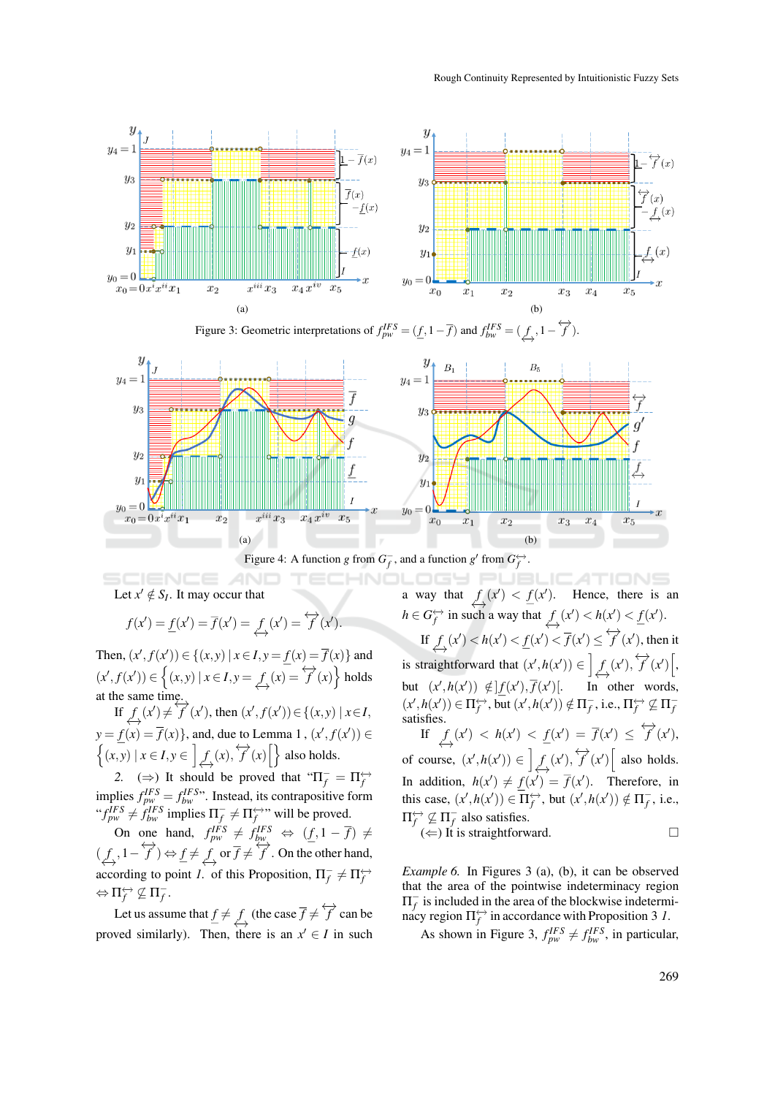

Figure 3: Geometric interpretations of  $f_{pw}^{IFS} = (\underline{f}, 1 - \overline{f})$  and  $f_{bw}^{IFS} = (\underbrace{f}{\leftrightarrow}, 1 - \overleftrightarrow{f})$ .





Let  $x' \notin S_I$ . It may occur that

$$
f(x') = \underline{f}(x') = \overline{f}(x') = \underbrace{f}_{\longleftrightarrow}(x') = \overleftrightarrow{f}(x').
$$

Then,  $(x', f(x')) \in \{(x, y) | x \in I, y = f(x) = \overline{f}(x)\}\$ and  $(x', f(x')) \in \left\{ (x, y) \mid x \in I, y = \int_{\hookrightarrow}^{f} (x) dx \right\}$  holds at the same time.

If  $f(x) \neq f'(x')$ , then  $(x', f(x')) \in \{(x, y) | x \in I,$  $y = f(x) = \overline{f}(x)$ , and, due to Lemma 1,  $(x', f(x')) \in$  $\left\{ (x, y) \mid x \in I, y \in \left] \bigoplus_{x \to a} f(x), \overleftrightarrow{f}(x) \right[ \right\}$  also holds.

2. ( $\Rightarrow$ ) It should be proved that " $\Pi^-_f = \Pi^{\leftrightarrow}_f$ *f* implies  $f_{pw}^{IFS} = f_{bw}^{IFS}$ . Instead, its contrapositive form " $f_{pw}^{IFS} \neq f_{bw}^{IFS}$  implies  $\Pi_f^- \neq \Pi_f^{\leftrightarrow\rightarrow}$ " will be proved.

On one hand,  $f_{pw}^{IFS} \neq f_{bw}^{IFS} \Leftrightarrow (\underline{f}, 1 - \overline{f}) \neq$  $(f, 1 - \overleftrightarrow{f}) \Leftrightarrow \underline{f} \neq \overleftrightarrow{f}$  or  $\overline{f} \neq \overleftrightarrow{f}$ . On the other hand, according to point *1*. of this Proposition,  $\Pi_f^- \neq \Pi_f^{\leftrightarrow}$  $\Leftrightarrow \Pi_f^{\leftrightarrow} \not\subseteq \Pi_f^-$ .

Let us assume that  $\underline{f} \neq \underbrace{f}_\leftrightarrow$  (the case  $\overline{f} \neq \overleftrightarrow{f}$  can be proved similarly). Then, there is an  $x' \in I$  in such

ICATIONS a way that  $f(x') < f(x')$ . Hence, there is an  $h \in G_f^{\leftrightarrow}$  in such a way that  $f(\mathbf{x}') < h(\mathbf{x}') < f(\mathbf{x}')$ . If  $f(x') < h(x') < \frac{f(x')}{f(x')} \leq \overrightarrow{f}(x')$ , then it is straightforward that  $(x', h(x')) \in \left] \underset{\longrightarrow}{\underbrace{f}}(x'), \overleftrightarrow{f}(x') \right[$ , but  $(x', h(x')) \notin |f(x'), \overline{f}(x')|$ . In other words,  $(x',h(x')) \in \Pi_f^{\leftrightarrow}$ , but  $(x',h(x')) \notin \Pi_f^-$ , i.e.,  $\Pi_f^{\leftrightarrow} \not\subseteq \Pi_f^$ satisfies. If  $f(x) < h(x') < f(x') = \overline{f}(x') \leq \overleftrightarrow{f}(x'),$ of course,  $(x', h(x')) \in \left] \underset{\longleftrightarrow}{f}(x'), \overleftrightarrow{f}(x') \right[$  also holds. In addition,  $h(x') \neq f(x') = \overline{f}(x')$ . Therefore, in this case,  $(x', h(x')) \in \overline{\Pi_f^{\leftrightarrow}}$ , but  $(x', h(x')) \notin \Pi_f^-$ , i.e.,  $\Pi_f^{\leftrightarrow} \not\subseteq \Pi_f^-$  also satisfies.  $(\Leftarrow)$  It is straightforward.

*Example 6.* In Figures 3 (a), (b), it can be observed that the area of the pointwise indeterminacy region  $\Pi^-_f$  is included in the area of the blockwise indetermimacy region  $\Pi_f^{\leftrightarrow}$  in accordance with Proposition 3 1.

As shown in Figure 3,  $f_{pw}^{IFS} \neq f_{bw}^{IFS}$ , in particular,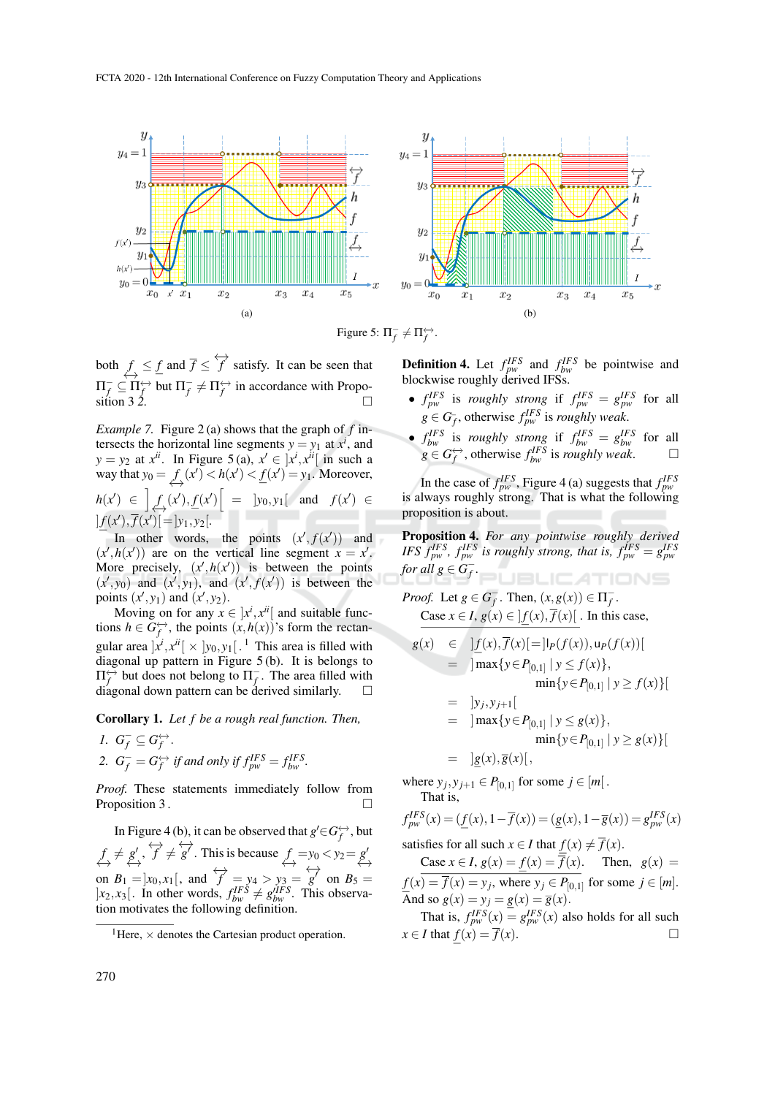

Figure 5:  $\Pi_f^- \neq \Pi_f^{\leftrightarrow}$ .

both  $f \leq f$  and  $\overline{f} \leq \overleftrightarrow{f}$  satisfy. It can be seen that  $\Pi^-_f \subseteq \Pi_f^{\leftrightarrow}$  but  $\Pi^-_f \neq \Pi_f^{\leftrightarrow}$  in accordance with Proposition 3  $\dot{2}$ .

*Example 7.* Figure 2(a) shows that the graph of  $f$  intersects the horizontal line segments  $y = y_1$  at  $x^i$ , and  $y = y_2$  at  $x^{ii}$ . In Figure 5 (a),  $x' \in [x^i, x^{ii}]$  in such a way that  $y_0 = f(x') < h(x') < \underline{f}(x') = y_1$ . Moreover,  $h(x') \in \left] \int \int (x') \cdot f(x') \right] = |y_0, y_1|$  and  $f(x') \in$ 

 $] f(x') , \overline{f}(x') [ = ] y_1, y_2 [$ . In other words, the points  $(x', f(x'))$  and  $(x', h(x'))$  are on the vertical line segment  $x = x'$ . More precisely,  $(x', h(x'))$  is between the points  $(x', y_0)$  and  $(x', y_1)$ , and  $(x', f(x'))$  is between the

points  $(x', y_1)$  and  $(x', y_2)$ . Moving on for any  $x \in [x^i, x^{ii}]$  and suitable functions  $h \in G_f^{\leftrightarrow}$ , the points  $(x, h(x))$ 's form the rectangular area  $x^i, x^{ii}$  |  $\times$   $y_0, y_1$  |  $\ldots$  1 This area is filled with diagonal up pattern in Figure 5 (b). It is belongs to  $\Pi_f^{\leftrightarrow}$  but does not belong to  $\Pi_f^-$ . The area filled with diagonal down pattern can be derived similarly.

Corollary 1. *Let f be a rough real function. Then,*

\n- 1. 
$$
G_f^- \subseteq G_f^{\leftrightarrow}
$$
.
\n- 2.  $G_f^- = G_f^{\leftrightarrow}$  if and only if  $f_{pw}^{IFS} = f_{bw}^{IFS}$ .
\n

*Proof.* These statements immediately follow from Proposition 3 .

In Figure 4 (b), it can be observed that  $g' \in G_f^{\leftrightarrow}$ , but  $f \leftrightarrow g'$  $g'$ ,  $\overleftrightarrow{f} \neq g'$ . This is because  $f = y_0 < y_2 = g'$ ←→ on  $B_1 = ]x_0, x_1[$ , and  $\overleftrightarrow{f} = y_4 > y_3 = g'$  on  $B_5 =$  $]x_2, x_3[$ . In other words,  $f_{bw}^{IFS} \neq g_{bw}^{IIFS}$ . This observation motivates the following definition.

**Definition 4.** Let  $f_{pw}^{IFS}$  and  $f_{bw}^{IFS}$  be pointwise and blockwise roughly derived IFSs.

- $f_{pw}^{IFS}$  is *roughly strong* if  $f_{pw}^{IFS} = g_{pw}^{IFS}$  for all  $g \in G_f^-$ , otherwise  $f_{pw}^{IFS}$  is *roughly weak*.
- $f_{bw}^{IFS}$  is *roughly strong* if  $f_{bw}^{IFS} = g_{bw}^{IFS}$  for all *g* ∈ *G*<sup> $\leftrightarrow$ </sup>  $\rightarrow$  *f* otherwise *f*<sup>*IFS*</sup> is *roughly weak*. □

In the case of  $f_{pw}^{IFS}$ , Figure 4 (a) suggests that  $f_{pw}^{IFS}$ is always roughly strong. That is what the following proposition is about.

Proposition 4. *For any pointwise roughly derived IFS*  $f_{pw}^{IFS}$ ,  $f_{pw}^{IFS}$  *is roughly strong, that is,*  $f_{pw}^{IFS} = g_{pw}^{IFS}$ *for all*  $g \in G_f^-$ . **JBLICATIONS** 

*Proof.* Let  $g \in G_f^-$ . Then,  $(x, g(x)) \in \Pi_f^-$ . Case  $x \in I$ ,  $g(x) \in |f(x), \overline{f}(x)|$ . In this case,

$$
g(x) \in ]\underline{f}(x), \overline{f}(x)] = |I_P(f(x)), u_P(f(x))|
$$
  
\n
$$
= ]\max\{y \in P_{[0,1]} | y \le f(x)\},
$$
  
\n
$$
\min\{y \in P_{[0,1]} | y \ge f(x)\}|
$$
  
\n
$$
= [y_j, y_{j+1}]
$$
  
\n
$$
= ]\max\{y \in P_{[0,1]} | y \le g(x)\},
$$
  
\n
$$
\min\{y \in P_{[0,1]} | y \ge g(x)\}|
$$
  
\n
$$
= [g(x), \overline{g}(x)],
$$

where  $y_j$ ,  $y_{j+1} \in P_{[0,1]}$  for some  $j \in [m]$ . That is,

$$
f_{pw}^{IFS}(x) = (\underline{f}(x), 1 - \overline{f}(x)) = (\underline{g}(x), 1 - \overline{g}(x)) = g_{pw}^{IFS}(x)
$$

satisfies for all such  $x \in I$  that  $f(x) \neq f(x)$ .

Case  $x \in I$ ,  $g(x) = f(x) = \overline{f}(x)$ . Then,  $g(x) =$  $f(x) = \overline{f}(x) = y_j$ , where  $y_j \in P_{[0,1]}$  for some  $j \in [m]$ . And so  $g(x) = y_j = g(x) = \overline{g}(x)$ .

That is,  $f_{pw}^{IFS}(x) = g_{pw}^{IFS}(x)$  also holds for all such  $x \in I$  that  $f(x) = \overline{f}(x)$ .

<sup>&</sup>lt;sup>1</sup>Here,  $\times$  denotes the Cartesian product operation.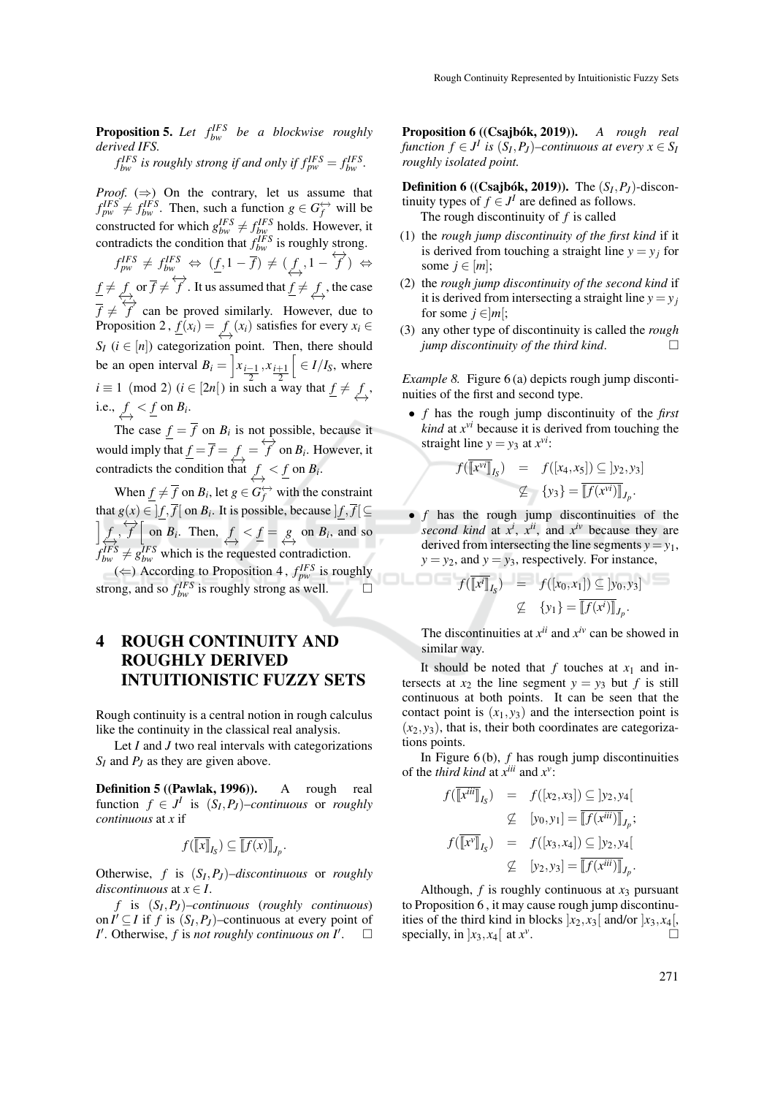**Proposition 5.** Let  $f_{bw}^{IFS}$  be a blockwise roughly *derived IFS.*

 $f_{bw}^{IFS}$  *is roughly strong if and only if*  $f_{pw}^{IFS} = f_{bw}^{IFS}$ .

*Proof.*  $(\Rightarrow)$  On the contrary, let us assume that  $f_{pw}^{IFS} \neq f_{bw}^{IFS}$ . Then, such a function  $g \in G_f^{\leftrightarrow}$  will be constructed for which  $g_{bw}^{IFS} \neq f_{bw}^{IFS}$  holds. However, it contradicts the condition that  $f_{bw}^{IFS}$  is roughly strong.

 $f_{pw}^{IFS} \neq f_{bw}^{IFS} \Leftrightarrow (\underline{f}, 1 - \overline{f}) \neq (\underline{f}, 1 - \overleftrightarrow{f}) \Leftrightarrow$  $f \neq f \text{ or } \overline{f} \neq \overleftrightarrow{f}$ . It us assumed that  $f \neq f \text{, the case}$  $\overrightarrow{f}$   $\overleftrightarrow{f}$   $\overrightarrow{f}$  can be proved similarly. However, due to Proposition 2,  $\underline{f}(x_i) = \underbrace{f}(x_i)$  satisfies for every  $x_i \in$  $S_I$  ( $i \in [n]$ ) categorization point. Then, there should be an open interval  $B_i = \left] x_{\frac{i-1}{2}}, x_{\frac{i+1}{2}} \right]$  $\left[ \right. \in I/I_{S}$ , where  $i \equiv 1 \pmod{2}$  (*i* ∈ [2*n*[) in such a way that  $f \neq f$ , i.e.,  $f \leq f$  on  $B_i$ .

The case  $f = f$  on  $B_i$  is not possible, because it would imply that  $f = \overline{f} = f \leftrightarrow f'$  on  $B_i$ . However, it contradicts the condition that  $f \leq f$  on  $B_i$ .

When  $\underline{f} \neq \overline{f}$  on  $B_i$ , let  $g \in G_f^{\leftrightarrow}$  with the constraint that  $g(x) \in ]f, \overline{f}[$  on  $B_i$ . It is possible, because  $]f, \overline{f}[\subseteq]$  $\iint_{\Sigma}$ ,  $\overrightarrow{f}$   $\left[\begin{array}{c} \text{on } B_i \end{array}\right]$ . Then,  $f \le f = g$  on  $B_i$ , and so  $f_{bw}^{IFS} \neq g_{bw}^{IFS}$  which is the requested contradiction.  $(\Leftarrow)$  According to Proposition 4,  $f_{pw}^{IFS}$  is roughly strong, and so  $f_{bw}^{IFS}$  is roughly strong as well.  $\Box$ 

# 4 ROUGH CONTINUITY AND ROUGHLY DERIVED INTUITIONISTIC FUZZY SETS

Rough continuity is a central notion in rough calculus like the continuity in the classical real analysis.

Let *I* and *J* two real intervals with categorizations *S<sup>I</sup>* and *P<sup>J</sup>* as they are given above.

Definition 5 ((Pawlak, 1996)). A rough real function  $f \in J^I$  is  $(S_I, P_J)$ –*continuous* or *roughly continuous* at *x* if

$$
f(\overline{\llbracket x \rrbracket}_{I_{\mathcal{S}}}) \subseteq \overline{\llbracket f(x) \rrbracket}_{J_p}.
$$

Otherwise, *f* is (*S<sup>I</sup>* ,*P<sup>J</sup>* )–*discontinuous* or *roughly discontinuous* at  $x \in I$ .

*f* is (*S<sup>I</sup>* ,*P<sup>J</sup>* )–*continuous* (*roughly continuous*) on  $I' \subseteq I$  if f is  $(S_I, P_J)$ –continuous at every point of *I*<sup> $\prime$ </sup>. Otherwise, *f* is *not roughly continuous on I*<sup> $\prime$ </sup>.  $\Box$  Proposition 6 ((Csajbók, 2019)). A rough real *function*  $f \in J^I$  *is*  $(S_I, P_J)$ –*continuous at every*  $x \in S_I$ *roughly isolated point.*

**Definition 6** ((**Csajbók, 2019**)). The  $(S_I, P_J)$ -discontinuity types of  $f \in J^I$  are defined as follows. The rough discontinuity of *f* is called

- (1) the *rough jump discontinuity of the first kind* if it is derived from touching a straight line  $y = y_i$  for some  $j \in [m]$ ;
- (2) the *rough jump discontinuity of the second kind* if it is derived from intersecting a straight line  $y = y_j$ for some  $j \in ]m[$ ;
- (3) any other type of discontinuity is called the *rough jump discontinuity of the third kind*.

*Example 8.* Figure 6 (a) depicts rough jump discontinuities of the first and second type.

• *f* has the rough jump discontinuity of the *first kind* at  $x^{\nu i}$  because it is derived from touching the straight line  $y = y_3$  at  $x^{vi}$ :

$$
f(\overline{[x^{vi}]}_{I_S}) = f([x_4, x_5]) \subseteq [y_2, y_3]
$$

$$
\nsubseteq \{y_3\} = \overline{[f(x^{vi})]}_{J_p}.
$$

• *f* has the rough jump discontinuities of the second kind at  $x^i$ ,  $x^{ii}$ , and  $x^{iv}$  because they are derived from intersecting the line segments  $y = y_1$ ,  $y = y_2$ , and  $y = y_3$ , respectively. For instance,

$$
f(\overline{[\![x^i]\!]}_{I_S}) = f([x_0, x_1]) \subseteq [y_0, y_3]
$$
  

$$
\nsubseteq \{y_1\} = \overline{[\![f(x^i)]\!]}_{J_p}.
$$

The discontinuities at  $x^{ii}$  and  $x^{iv}$  can be showed in similar way.

It should be noted that  $f$  touches at  $x_1$  and intersects at  $x_2$  the line segment  $y = y_3$  but f is still continuous at both points. It can be seen that the contact point is  $(x_1, y_3)$  and the intersection point is  $(x_2, y_3)$ , that is, their both coordinates are categorizations points.

In Figure 6 (b), *f* has rough jump discontinuities of the *third kind* at  $x^{iii}$  and  $x^v$ :

$$
f(\overline{\llbracket x^{iii} \rrbracket}_{I_S}) = f([x_2, x_3]) \subseteq [y_2, y_4[
$$

$$
\nsubseteq [y_0, y_1] = \overline{\llbracket f(x^{iii}) \rrbracket}_{J_p};
$$

$$
f(\overline{\llbracket x^v \rrbracket}_{I_S}) = f([x_3, x_4]) \subseteq [y_2, y_4[
$$

$$
\nsubseteq [y_2, y_3] = \overline{\llbracket f(x^{iii}) \rrbracket}_{J_p}.
$$

Although,  $f$  is roughly continuous at  $x_3$  pursuant to Proposition 6 , it may cause rough jump discontinuities of the third kind in blocks  $x_2, x_3$  [and/or  $x_3, x_4$  [ specially, in  $\left[x_3, x_4\right]$  at  $x^{\nu}$ . . . . . . . . . . . . <u>. .</u>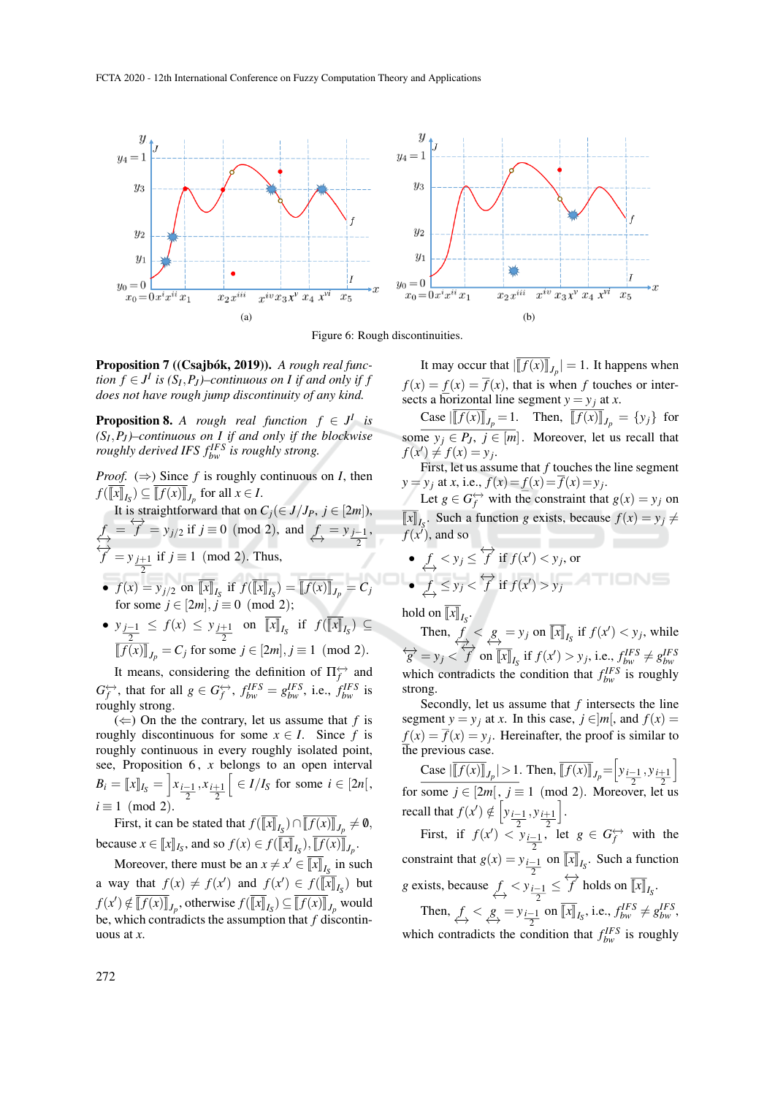

Figure 6: Rough discontinuities.

**Proposition 7 ((Csajbók, 2019)).** A rough real func*tion*  $f \in J^I$  *is*  $(S_I, P_J)$ –*continuous on I if and only if f does not have rough jump discontinuity of any kind.*

**Proposition 8.** *A rough real function*  $f \in J^I$  *is (SI* ,*P<sup>J</sup> )–continuous on I if and only if the blockwise roughly derived IFS*  $f_{bw}^{IFS}$  *is roughly strong.* 

*Proof.*  $(\Rightarrow)$  Since *f* is roughly continuous on *I*, then  $f([x]_{I_S}) \subseteq [f(x)]_{J_p}$  for all  $x \in I$ .

It is straightforward that on  $C_j(\in J/J_P, j \in [2m])$ ,  $f = f^2 = y_{j/2}$  if  $j \equiv 0 \pmod{2}$ , and  $f = y_{j-1/2}$ 2 ,  $\overleftrightarrow{f}$  =  $y_{j+1}$ 2 if  $j$  ≡ 1 (mod 2). Thus, •  $f(x) = y_{j/2}$  on  $\llbracket x \rrbracket_{I_S}$  if  $f(\llbracket x \rrbracket_{I_S}) = \llbracket f(x) \rrbracket_{J_p} = C_j$ for some  $j \in [2m], j \equiv 0 \pmod{2}$ ;

• 
$$
y_{\frac{j-1}{2}} \le f(x) \le y_{\frac{j+1}{2}}
$$
 on  $[x]_{I_S}$  if  $f([x]_{I_S}) \subseteq$   
 $[f(x)]_{J_p} = C_j$  for some  $j \in [2m], j \equiv 1 \pmod{2}$ .

It means, considering the definition of  $\Pi_f^{\leftrightarrow}$  and  $G_f^{\leftrightarrow}$ , that for all  $g \in G_f^{\leftrightarrow}$ ,  $f_{bw}^{IFS} = g_{bw}^{IFS}$ , i.e.,  $f_{bw}^{IFS}$  is roughly strong.

 $(\Leftarrow)$  On the the contrary, let us assume that *f* is roughly discontinuous for some  $x \in I$ . Since f is roughly continuous in every roughly isolated point, see, Proposition 6, *x* belongs to an open interval  $B_i = [x]_{I_S} = \left[ x_{\frac{i-1}{2}}, x_{\frac{i+1}{2}} \right]$  $\left[ \begin{array}{c} \in I/I_S \end{array} \right]$  for some  $i \in [2n],$  $i \equiv 1 \pmod{2}$ .

First, it can be stated that  $f([x]_{I_{\mathcal{S}}}) \cap [f(x)]_{J_p} \neq \emptyset$ , because  $x \in [x]_{I_S}$ , and so  $f(x) \in f([x]_{I_S})$ ,  $[f(x)]_{J_p}$ .

Moreover, there must be an  $x \neq x' \in \overline{[x]}_{I_S}$  in such a way that  $f(x) \neq f(x')$  and  $f(x') \in f(\overline{[x]}]_I$  but  $f(x') \notin \overline{[f(x)]}_{J_p}$ , otherwise  $f(\overline{[x]}_{J_p}) \subseteq \overline{[f(x)]}_{J_p}$  would be, which contradicts the assumption that *f* discontinuous at *x*.

It may occur that  $\left\| \left[ f(x) \right] \right\|_{L_p} = 1$ . It happens when  $f(x) = f(x) = \overline{f}(x)$ , that is when *f* touches or intersects a horizontal line segment  $y = y_j$  at *x*.

 $\frac{\text{Case } [[f(x)]_{J_p} = 1.}{\text{Then, } [[f(x)]_{J_p} = \{y_j\} \text{ for }$ some  $y_j \in P_J$ ,  $j \in [m]$ . Moreover, let us recall that  $f(x') \neq f(x) = y_j.$ 

First, let us assume that *f* touches the line segment  $y = y_j$  at *x*, i.e.,  $f(x) = f(x) = f(x) = y_j$ .

Let  $g \in G_f^{\leftrightarrow}$  with the constraint that  $g(x) = y_j$  on  $\llbracket x \rrbracket_{I_S}$ . Such a function *g* exists, because  $f(x) = y_j \neq$  $f(x^{\prime})$ , and so

• 
$$
f_x < y_j \leq \overleftrightarrow{f}
$$
 if  $f(x') < y_j$ , or  
\n•  $f_y \leq y_j < \overleftrightarrow{f}$  if  $f(x') > y_j$ 

hold on  $\llbracket x \rrbracket_{I_S}$ .

Then,  $f \leq g = y_j$  on  $\overline{[x]}_{I_S}$  if  $f(x') < y_j$ , while  $\overleftrightarrow{g} = y_j \le \overleftrightarrow{f}$  on  $\overline{[x]}_{I_S}$  if  $f(x') > y_j$ , i.e.,  $f_{bw}^{IFS} \ne g_{bw}^{IFS}$  $\overleftrightarrow{g} = y_j \leq f$  on  $\overline{[x]}_{I_S}$  if  $f(x') > y_j$ , i.e.,  $f_{bw}^{IFS} \neq g_{bw}^{IFS}$ <br>which contradicts the condition that  $f_{bw}^{IFS}$  is roughly strong.

Secondly, let us assume that *f* intersects the line segment  $y = y_i$  at *x*. In this case,  $j \in ]m[$ , and  $f(x) =$  $f(x) = f(x) = y_j$ . Hereinafter, the proof is similar to the previous case.

Case  $\left| \overline{[f(x)]}_{J_p} \right| > 1$ . Then,  $\overline{[f(x)]}_{J_p} = \left[ y_{\frac{i-1}{2}}, y_{\frac{i+1}{2}} \right]$ i for some  $j \in [2m]$ ,  $j \equiv 1 \pmod{2}$ . Moreover, let us recall that  $f(x') \notin \left[ y_{\frac{i-1}{2}}, y_{\frac{i+1}{2}} \right]$ i . First, if  $f(x') < y_{\frac{i-1}{2}}$  $\int$ , let  $g \in G_f^{\leftrightarrow}$  with the constraint that  $g(x) = y_{\frac{i-1}{2}}$  on  $\llbracket x \rrbracket_{I_S}$ . Such a function

*g* exists, because 
$$
f
$$
  $\leq$   $y_{\frac{i-1}{2}} \leq \overleftrightarrow{f}$  holds on  $[\overline{x}]_{I_S}$ .

Then,  $f \leq g \leq y_{\frac{i-1}{2}}$  on  $\overline{[x]}_{I_S}$ , i.e.,  $f_{bw}^{IFS} \neq g_{bw}^{IFS}$ , which contradicts the condition that  $f_{bw}^{IFS}$  is roughly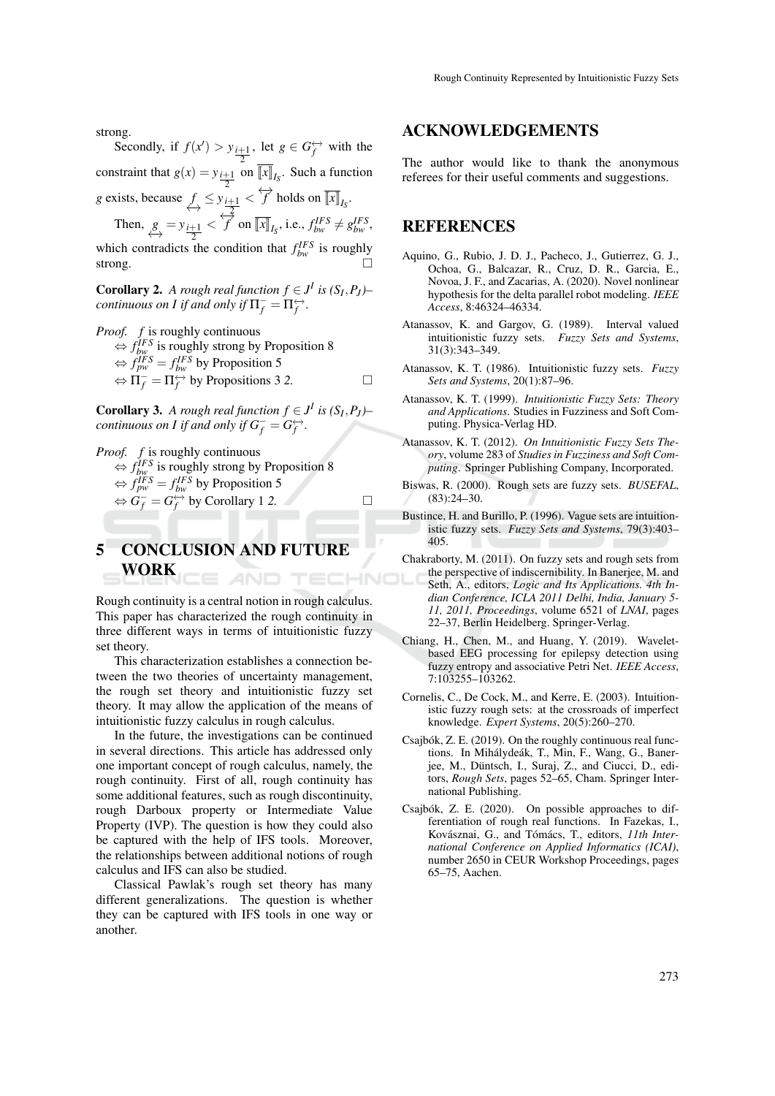strong.

Secondly, if  $f(x') > y_{\frac{i+1}{2}}$ , let  $g \in G_f^{\leftrightarrow}$  with the constraint that  $g(x) = y_{\frac{i+1}{2}}$  on  $\llbracket x \rrbracket_{I_S}$ . Such a function 2 *g* exists, because  $f \leq y_{\frac{i+1}{2}} < f$  holds on  $\overline{[x]}_{I_S}$ .

2 Then,  $g_{\rightarrow} = y_{\frac{i+1}{2}}$  $\langle f \rangle \leq f$  on  $\overline{[x]}_{I_S}$ , i.e.,  $f_{bw}^{IFS} \neq g_{bw}^{IFS}$ ,

which contradicts the condition that  $f_{bw}^{IFS}$  is roughly strong.  $\Box$ 

**Corollary 2.** *A rough real function*  $f \in J^I$  *is*  $(S_I, P_J)$ *continuous on I if and only if*  $\Pi_f^- = \Pi_f^{\leftrightarrow}$ .

*Proof. f* is roughly continuous  $\Leftrightarrow$  *f*<sup>*IFS*</sup> is roughly strong by Proposition 8  $\Leftrightarrow$   $f_{pw}^{IFS} = f_{bw}^{IFS}$  by Proposition 5  $\Leftrightarrow \Pi_f^- = \Pi_f^{\leftrightarrow}$  by Propositions 3 2.

**Corollary 3.** *A rough real function*  $f \in J^I$  *is*  $(S_I, P_J)$ *continuous on I if and only if*  $G_f^- = G_f^{\leftrightarrow}$ .

*Proof. f* is roughly continuous  $\Leftrightarrow$  *f*<sup>*IFS*</sup> is roughly strong by Proposition 8  $\Leftrightarrow$   $f_{pw}^{IFS} = f_{bw}^{IFS}$  by Proposition 5  $\Leftrightarrow \dot{G}^-_f = G_f^{\leftrightarrow}$  by Corollary 1 2.

#### 5 CONCLUSION AND FUTURE WORK AND TECHNO

Rough continuity is a central notion in rough calculus. This paper has characterized the rough continuity in three different ways in terms of intuitionistic fuzzy set theory.

This characterization establishes a connection between the two theories of uncertainty management, the rough set theory and intuitionistic fuzzy set theory. It may allow the application of the means of intuitionistic fuzzy calculus in rough calculus.

In the future, the investigations can be continued in several directions. This article has addressed only one important concept of rough calculus, namely, the rough continuity. First of all, rough continuity has some additional features, such as rough discontinuity, rough Darboux property or Intermediate Value Property (IVP). The question is how they could also be captured with the help of IFS tools. Moreover, the relationships between additional notions of rough calculus and IFS can also be studied.

Classical Pawlak's rough set theory has many different generalizations. The question is whether they can be captured with IFS tools in one way or another.

#### ACKNOWLEDGEMENTS

The author would like to thank the anonymous referees for their useful comments and suggestions.

## **REFERENCES**

- Aquino, G., Rubio, J. D. J., Pacheco, J., Gutierrez, G. J., Ochoa, G., Balcazar, R., Cruz, D. R., Garcia, E., Novoa, J. F., and Zacarias, A. (2020). Novel nonlinear hypothesis for the delta parallel robot modeling. *IEEE Access*, 8:46324–46334.
- Atanassov, K. and Gargov, G. (1989). Interval valued intuitionistic fuzzy sets. *Fuzzy Sets and Systems*, 31(3):343–349.
- Atanassov, K. T. (1986). Intuitionistic fuzzy sets. *Fuzzy Sets and Systems*, 20(1):87–96.
- Atanassov, K. T. (1999). *Intuitionistic Fuzzy Sets: Theory and Applications*. Studies in Fuzziness and Soft Computing. Physica-Verlag HD.
- Atanassov, K. T. (2012). *On Intuitionistic Fuzzy Sets Theory*, volume 283 of *Studies in Fuzziness and Soft Computing*. Springer Publishing Company, Incorporated.
- Biswas, R. (2000). Rough sets are fuzzy sets. *BUSEFAL*, (83):24–30.
- Bustince, H. and Burillo, P. (1996). Vague sets are intuitionistic fuzzy sets. *Fuzzy Sets and Systems*, 79(3):403– 405.
- Chakraborty, M. (2011). On fuzzy sets and rough sets from the perspective of indiscernibility. In Banerjee, M. and Seth, A., editors, *Logic and Its Applications. 4th Indian Conference, ICLA 2011 Delhi, India, January 5- 11, 2011, Proceedings*, volume 6521 of *LNAI*, pages 22–37, Berlin Heidelberg. Springer-Verlag.
- Chiang, H., Chen, M., and Huang, Y. (2019). Waveletbased EEG processing for epilepsy detection using fuzzy entropy and associative Petri Net. *IEEE Access*, 7:103255–103262.
- Cornelis, C., De Cock, M., and Kerre, E. (2003). Intuitionistic fuzzy rough sets: at the crossroads of imperfect knowledge. *Expert Systems*, 20(5):260–270.
- Csajbók, Z. E. (2019). On the roughly continuous real functions. In Mihálydeák, T., Min, F., Wang, G., Banerjee, M., Düntsch, I., Suraj, Z., and Ciucci, D., editors, *Rough Sets*, pages 52–65, Cham. Springer International Publishing.
- Csajbók, Z. E. (2020). On possible approaches to differentiation of rough real functions. In Fazekas, I., Kovásznai, G., and Tómács, T., editors, 11th Inter*national Conference on Applied Informatics (ICAI)*, number 2650 in CEUR Workshop Proceedings, pages 65–75, Aachen.